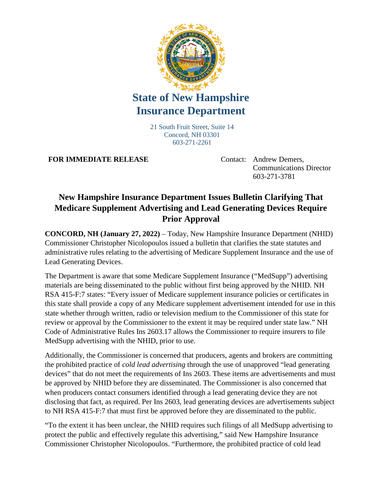

## **State of New Hampshire Insurance Department**

21 South Fruit Street, Suite 14 Concord, NH 03301 603-271-2261

**FOR IMMEDIATE RELEASE** Contact: Andrew Demers,

Communications Director 603-271-3781

## **New Hampshire Insurance Department Issues Bulletin Clarifying That Medicare Supplement Advertising and Lead Generating Devices Require Prior Approval**

**CONCORD, NH (January 27, 2022)** – Today, New Hampshire Insurance Department (NHID) Commissioner Christopher Nicolopoulos issued a bulletin that clarifies the state statutes and administrative rules relating to the advertising of Medicare Supplement Insurance and the use of Lead Generating Devices.

The Department is aware that some Medicare Supplement Insurance ("MedSupp") advertising materials are being disseminated to the public without first being approved by the NHID. NH RSA 415-F:7 states: "Every issuer of Medicare supplement insurance policies or certificates in this state shall provide a copy of any Medicare supplement advertisement intended for use in this state whether through written, radio or television medium to the Commissioner of this state for review or approval by the Commissioner to the extent it may be required under state law." NH Code of Administrative Rules Ins 2603.17 allows the Commissioner to require insurers to file MedSupp advertising with the NHID, prior to use.

Additionally, the Commissioner is concerned that producers, agents and brokers are committing the prohibited practice of *cold lead advertising* through the use of unapproved "lead generating devices" that do not meet the requirements of Ins 2603. These items are advertisements and must be approved by NHID before they are disseminated. The Commissioner is also concerned that when producers contact consumers identified through a lead generating device they are not disclosing that fact, as required. Per Ins 2603, lead generating devices are advertisements subject to NH RSA 415-F:7 that must first be approved before they are disseminated to the public.

"To the extent it has been unclear, the NHID requires such filings of all MedSupp advertising to protect the public and effectively regulate this advertising," said New Hampshire Insurance Commissioner Christopher Nicolopoulos. "Furthermore, the prohibited practice of cold lead